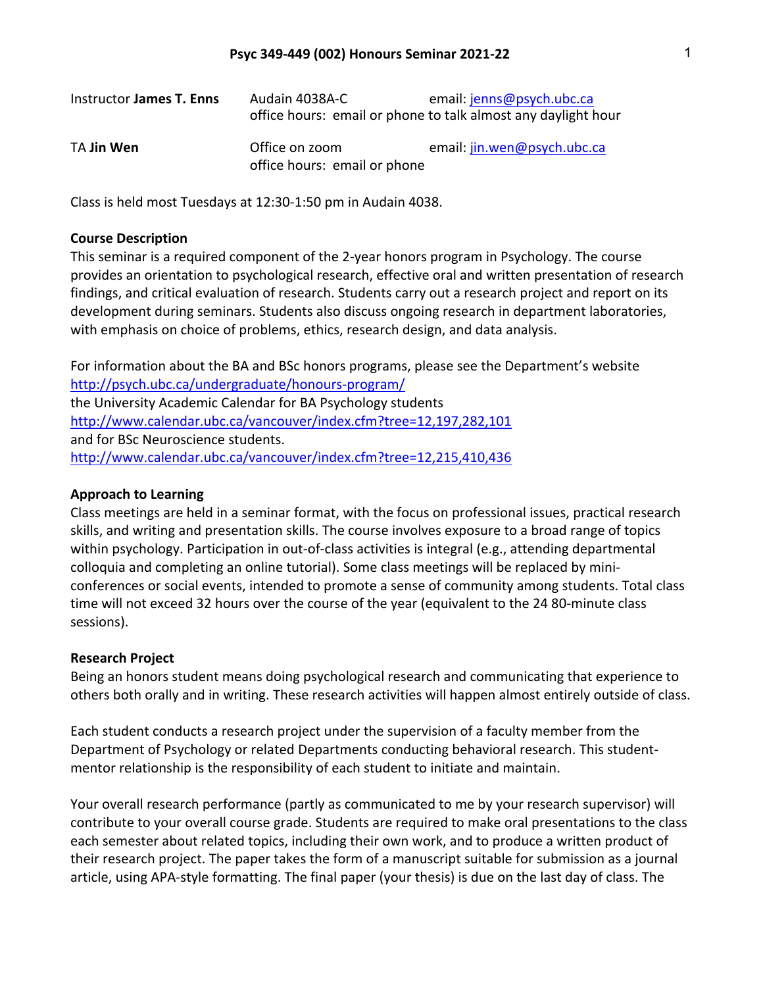| Instructor James T. Enns | Audain 4038A-C               | email: jenns@psych.ubc.ca                                     |
|--------------------------|------------------------------|---------------------------------------------------------------|
|                          |                              | office hours: email or phone to talk almost any daylight hour |
| TA Jin Wen               | Office on zoom               | email: jin.wen@psych.ubc.ca                                   |
|                          | office hours: email or phone |                                                               |

Class is held most Tuesdays at 12:30-1:50 pm in Audain 4038.

#### **Course Description**

This seminar is a required component of the 2-year honors program in Psychology. The course provides an orientation to psychological research, effective oral and written presentation of research findings, and critical evaluation of research. Students carry out a research project and report on its development during seminars. Students also discuss ongoing research in department laboratories, with emphasis on choice of problems, ethics, research design, and data analysis.

For information about the BA and BSc honors programs, please see the Department's website http://psych.ubc.ca/undergraduate/honours-program/ the University Academic Calendar for BA Psychology students http://www.calendar.ubc.ca/vancouver/index.cfm?tree=12,197,282,101 and for BSc Neuroscience students. http://www.calendar.ubc.ca/vancouver/index.cfm?tree=12,215,410,436

### **Approach to Learning**

Class meetings are held in a seminar format, with the focus on professional issues, practical research skills, and writing and presentation skills. The course involves exposure to a broad range of topics within psychology. Participation in out-of-class activities is integral (e.g., attending departmental colloquia and completing an online tutorial). Some class meetings will be replaced by miniconferences or social events, intended to promote a sense of community among students. Total class time will not exceed 32 hours over the course of the year (equivalent to the 24 80-minute class sessions).

#### **Research Project**

Being an honors student means doing psychological research and communicating that experience to others both orally and in writing. These research activities will happen almost entirely outside of class.

Each student conducts a research project under the supervision of a faculty member from the Department of Psychology or related Departments conducting behavioral research. This studentmentor relationship is the responsibility of each student to initiate and maintain.

Your overall research performance (partly as communicated to me by your research supervisor) will contribute to your overall course grade. Students are required to make oral presentations to the class each semester about related topics, including their own work, and to produce a written product of their research project. The paper takes the form of a manuscript suitable for submission as a journal article, using APA-style formatting. The final paper (your thesis) is due on the last day of class. The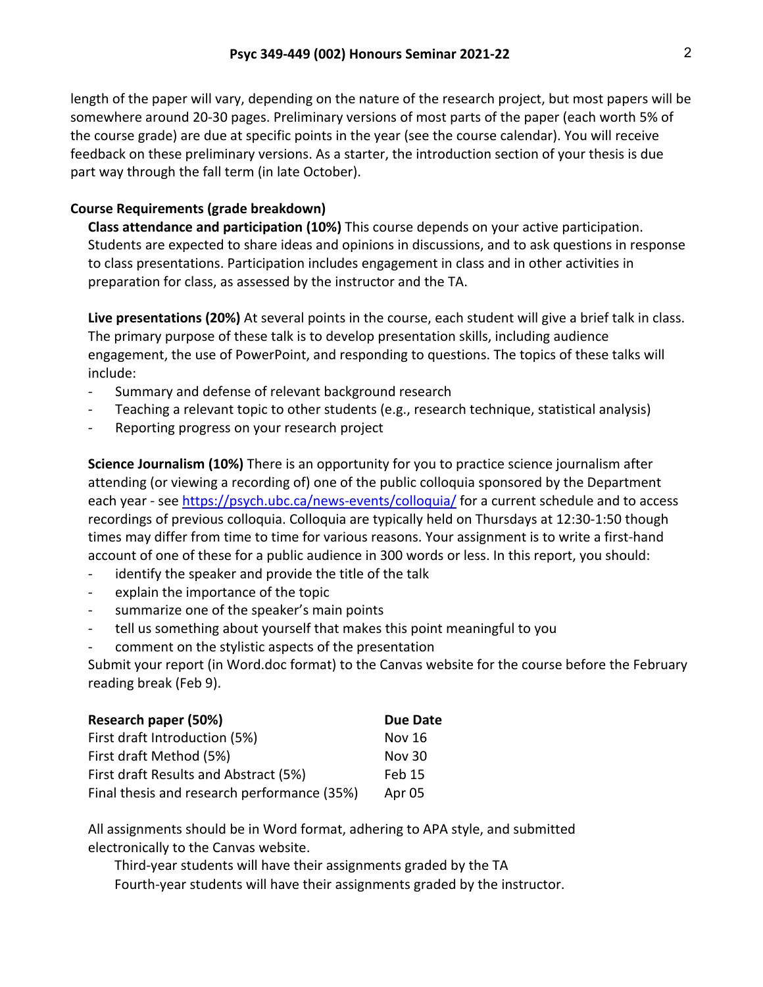length of the paper will vary, depending on the nature of the research project, but most papers will be somewhere around 20-30 pages. Preliminary versions of most parts of the paper (each worth 5% of the course grade) are due at specific points in the year (see the course calendar). You will receive feedback on these preliminary versions. As a starter, the introduction section of your thesis is due part way through the fall term (in late October).

# **Course Requirements (grade breakdown)**

**Class attendance and participation (10%)** This course depends on your active participation. Students are expected to share ideas and opinions in discussions, and to ask questions in response to class presentations. Participation includes engagement in class and in other activities in preparation for class, as assessed by the instructor and the TA.

**Live presentations (20%)** At several points in the course, each student will give a brief talk in class. The primary purpose of these talk is to develop presentation skills, including audience engagement, the use of PowerPoint, and responding to questions. The topics of these talks will include:

- Summary and defense of relevant background research
- Teaching a relevant topic to other students (e.g., research technique, statistical analysis)
- Reporting progress on your research project

**Science Journalism (10%)** There is an opportunity for you to practice science journalism after attending (or viewing a recording of) one of the public colloquia sponsored by the Department each year - see https://psych.ubc.ca/news-events/colloquia/ for a current schedule and to access recordings of previous colloquia. Colloquia are typically held on Thursdays at 12:30-1:50 though times may differ from time to time for various reasons. Your assignment is to write a first-hand account of one of these for a public audience in 300 words or less. In this report, you should:

- identify the speaker and provide the title of the talk
- explain the importance of the topic
- summarize one of the speaker's main points
- tell us something about yourself that makes this point meaningful to you
- comment on the stylistic aspects of the presentation

Submit your report (in Word.doc format) to the Canvas website for the course before the February reading break (Feb 9).

| Research paper (50%)                        | Due Date      |
|---------------------------------------------|---------------|
| First draft Introduction (5%)               | <b>Nov 16</b> |
| First draft Method (5%)                     | <b>Nov 30</b> |
| First draft Results and Abstract (5%)       | Feb 15        |
| Final thesis and research performance (35%) | Apr 05        |

All assignments should be in Word format, adhering to APA style, and submitted electronically to the Canvas website.

Third-year students will have their assignments graded by the TA Fourth-year students will have their assignments graded by the instructor.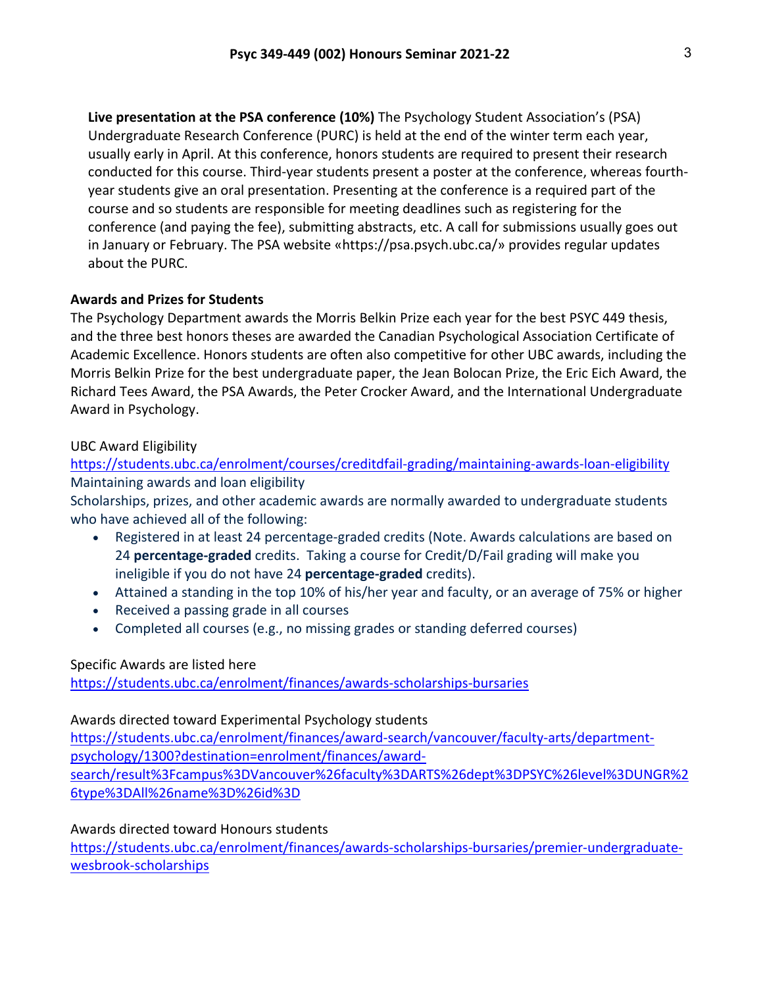**Live presentation at the PSA conference (10%)** The Psychology Student Association's (PSA) Undergraduate Research Conference (PURC) is held at the end of the winter term each year, usually early in April. At this conference, honors students are required to present their research conducted for this course. Third-year students present a poster at the conference, whereas fourthyear students give an oral presentation. Presenting at the conference is a required part of the course and so students are responsible for meeting deadlines such as registering for the conference (and paying the fee), submitting abstracts, etc. A call for submissions usually goes out in January or February. The PSA website «https://psa.psych.ubc.ca/» provides regular updates about the PURC.

# **Awards and Prizes for Students**

The Psychology Department awards the Morris Belkin Prize each year for the best PSYC 449 thesis, and the three best honors theses are awarded the Canadian Psychological Association Certificate of Academic Excellence. Honors students are often also competitive for other UBC awards, including the Morris Belkin Prize for the best undergraduate paper, the Jean Bolocan Prize, the Eric Eich Award, the Richard Tees Award, the PSA Awards, the Peter Crocker Award, and the International Undergraduate Award in Psychology.

# UBC Award Eligibility

https://students.ubc.ca/enrolment/courses/creditdfail-grading/maintaining-awards-loan-eligibility Maintaining awards and loan eligibility

Scholarships, prizes, and other academic awards are normally awarded to undergraduate students who have achieved all of the following:

- Registered in at least 24 percentage-graded credits (Note. Awards calculations are based on 24 **percentage-graded** credits. Taking a course for Credit/D/Fail grading will make you ineligible if you do not have 24 **percentage-graded** credits).
- Attained a standing in the top 10% of his/her year and faculty, or an average of 75% or higher
- Received a passing grade in all courses
- Completed all courses (e.g., no missing grades or standing deferred courses)

### Specific Awards are listed here

https://students.ubc.ca/enrolment/finances/awards-scholarships-bursaries

### Awards directed toward Experimental Psychology students

https://students.ubc.ca/enrolment/finances/award-search/vancouver/faculty-arts/departmentpsychology/1300?destination=enrolment/finances/awardsearch/result%3Fcampus%3DVancouver%26faculty%3DARTS%26dept%3DPSYC%26level%3DUNGR%2 6type%3DAll%26name%3D%26id%3D

# Awards directed toward Honours students

https://students.ubc.ca/enrolment/finances/awards-scholarships-bursaries/premier-undergraduatewesbrook-scholarships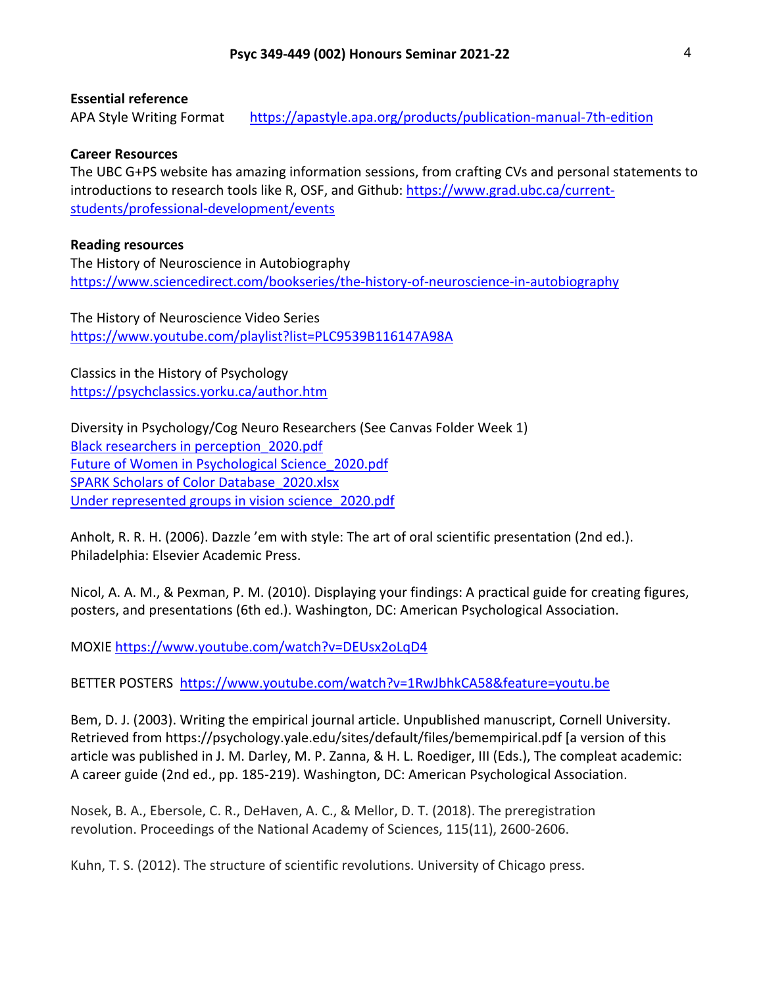### **Essential reference**

APA Style Writing Format https://apastyle.apa.org/products/publication-manual-7th-edition

### **Career Resources**

The UBC G+PS website has amazing information sessions, from crafting CVs and personal statements to introductions to research tools like R, OSF, and Github: https://www.grad.ubc.ca/currentstudents/professional-development/events

### **Reading resources**

The History of Neuroscience in Autobiography https://www.sciencedirect.com/bookseries/the-history-of-neuroscience-in-autobiography

The History of Neuroscience Video Series https://www.youtube.com/playlist?list=PLC9539B116147A98A

Classics in the History of Psychology https://psychclassics.yorku.ca/author.htm

Diversity in Psychology/Cog Neuro Researchers (See Canvas Folder Week 1) Black researchers in perception\_2020.pdf Future of Women in Psychological Science\_2020.pdf SPARK Scholars of Color Database\_2020.xlsx Under represented groups in vision science\_2020.pdf

Anholt, R. R. H. (2006). Dazzle 'em with style: The art of oral scientific presentation (2nd ed.). Philadelphia: Elsevier Academic Press.

Nicol, A. A. M., & Pexman, P. M. (2010). Displaying your findings: A practical guide for creating figures, posters, and presentations (6th ed.). Washington, DC: American Psychological Association.

MOXIE https://www.youtube.com/watch?v=DEUsx2oLqD4

BETTER POSTERS https://www.youtube.com/watch?v=1RwJbhkCA58&feature=youtu.be

Bem, D. J. (2003). Writing the empirical journal article. Unpublished manuscript, Cornell University. Retrieved from https://psychology.yale.edu/sites/default/files/bemempirical.pdf [a version of this article was published in J. M. Darley, M. P. Zanna, & H. L. Roediger, III (Eds.), The compleat academic: A career guide (2nd ed., pp. 185-219). Washington, DC: American Psychological Association.

Nosek, B. A., Ebersole, C. R., DeHaven, A. C., & Mellor, D. T. (2018). The preregistration revolution. Proceedings of the National Academy of Sciences, 115(11), 2600-2606.

Kuhn, T. S. (2012). The structure of scientific revolutions. University of Chicago press.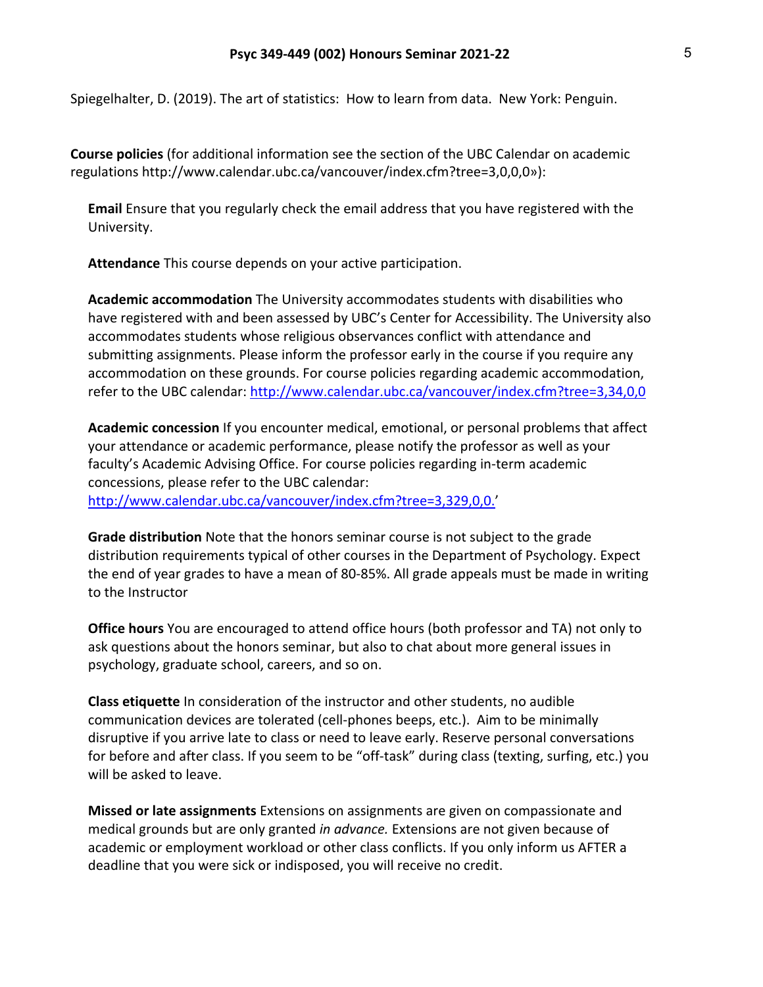Spiegelhalter, D. (2019). The art of statistics: How to learn from data. New York: Penguin.

**Course policies** (for additional information see the section of the UBC Calendar on academic regulations http://www.calendar.ubc.ca/vancouver/index.cfm?tree=3,0,0,0»):

**Email** Ensure that you regularly check the email address that you have registered with the University.

**Attendance** This course depends on your active participation.

**Academic accommodation** The University accommodates students with disabilities who have registered with and been assessed by UBC's Center for Accessibility. The University also accommodates students whose religious observances conflict with attendance and submitting assignments. Please inform the professor early in the course if you require any accommodation on these grounds. For course policies regarding academic accommodation, refer to the UBC calendar: http://www.calendar.ubc.ca/vancouver/index.cfm?tree=3,34,0,0

**Academic concession** If you encounter medical, emotional, or personal problems that affect your attendance or academic performance, please notify the professor as well as your faculty's Academic Advising Office. For course policies regarding in-term academic concessions, please refer to the UBC calendar: http://www.calendar.ubc.ca/vancouver/index.cfm?tree=3,329,0,0.'

**Grade distribution** Note that the honors seminar course is not subject to the grade distribution requirements typical of other courses in the Department of Psychology. Expect the end of year grades to have a mean of 80-85%. All grade appeals must be made in writing to the Instructor

**Office hours** You are encouraged to attend office hours (both professor and TA) not only to ask questions about the honors seminar, but also to chat about more general issues in psychology, graduate school, careers, and so on.

**Class etiquette** In consideration of the instructor and other students, no audible communication devices are tolerated (cell-phones beeps, etc.). Aim to be minimally disruptive if you arrive late to class or need to leave early. Reserve personal conversations for before and after class. If you seem to be "off-task" during class (texting, surfing, etc.) you will be asked to leave.

**Missed or late assignments** Extensions on assignments are given on compassionate and medical grounds but are only granted *in advance.* Extensions are not given because of academic or employment workload or other class conflicts. If you only inform us AFTER a deadline that you were sick or indisposed, you will receive no credit.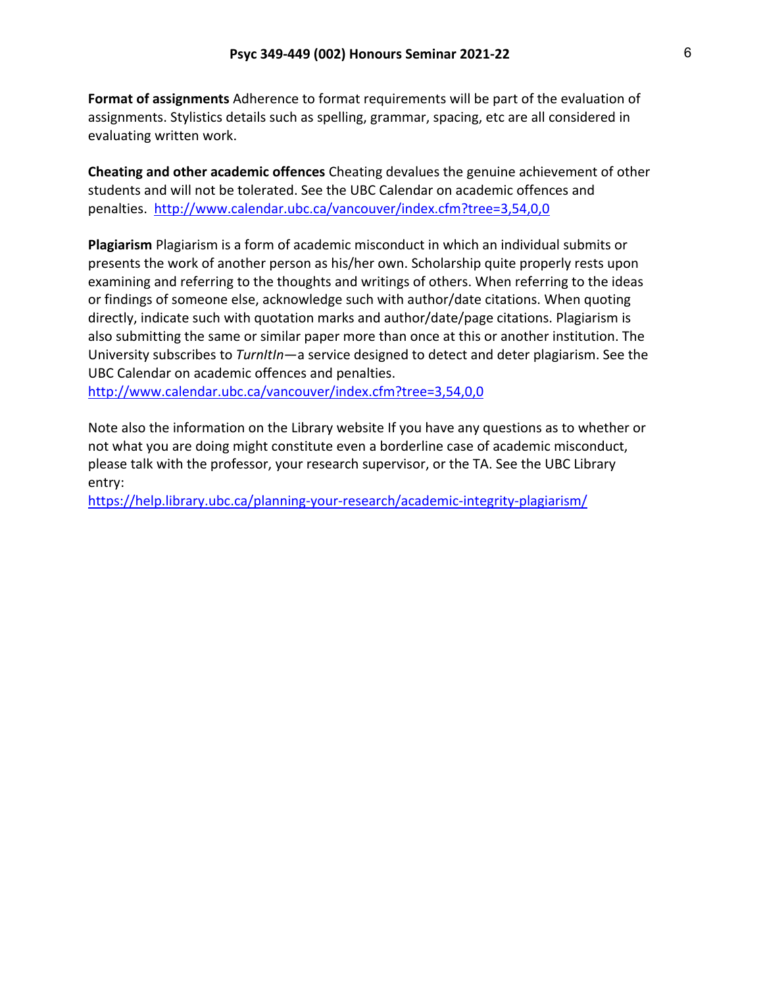**Format of assignments** Adherence to format requirements will be part of the evaluation of assignments. Stylistics details such as spelling, grammar, spacing, etc are all considered in evaluating written work.

**Cheating and other academic offences** Cheating devalues the genuine achievement of other students and will not be tolerated. See the UBC Calendar on academic offences and penalties. http://www.calendar.ubc.ca/vancouver/index.cfm?tree=3,54,0,0

**Plagiarism** Plagiarism is a form of academic misconduct in which an individual submits or presents the work of another person as his/her own. Scholarship quite properly rests upon examining and referring to the thoughts and writings of others. When referring to the ideas or findings of someone else, acknowledge such with author/date citations. When quoting directly, indicate such with quotation marks and author/date/page citations. Plagiarism is also submitting the same or similar paper more than once at this or another institution. The University subscribes to *TurnItIn*—a service designed to detect and deter plagiarism. See the UBC Calendar on academic offences and penalties.

http://www.calendar.ubc.ca/vancouver/index.cfm?tree=3,54,0,0

Note also the information on the Library website If you have any questions as to whether or not what you are doing might constitute even a borderline case of academic misconduct, please talk with the professor, your research supervisor, or the TA. See the UBC Library entry:

https://help.library.ubc.ca/planning-your-research/academic-integrity-plagiarism/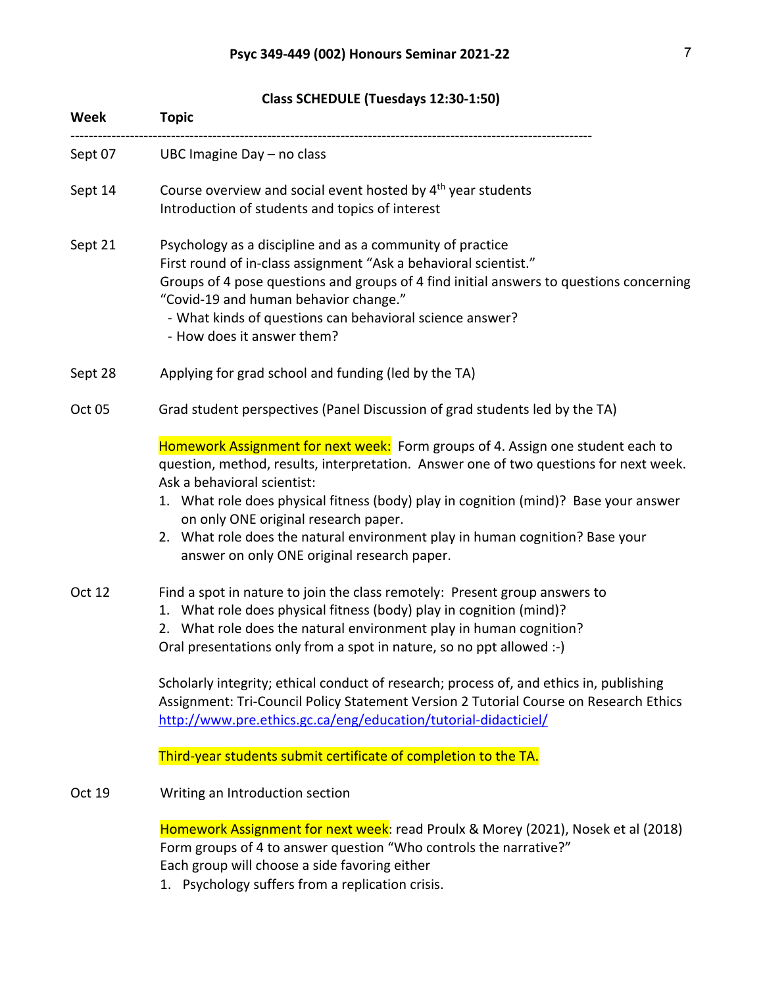**Class SCHEDULE (Tuesdays 12:30-1:50)**

| Week    | <b>Topic</b>                                                                                                                                                                                                                                                                                                                                                                                                                                                           |
|---------|------------------------------------------------------------------------------------------------------------------------------------------------------------------------------------------------------------------------------------------------------------------------------------------------------------------------------------------------------------------------------------------------------------------------------------------------------------------------|
| Sept 07 | UBC Imagine Day - no class                                                                                                                                                                                                                                                                                                                                                                                                                                             |
| Sept 14 | Course overview and social event hosted by 4 <sup>th</sup> year students<br>Introduction of students and topics of interest                                                                                                                                                                                                                                                                                                                                            |
| Sept 21 | Psychology as a discipline and as a community of practice<br>First round of in-class assignment "Ask a behavioral scientist."<br>Groups of 4 pose questions and groups of 4 find initial answers to questions concerning<br>"Covid-19 and human behavior change."<br>- What kinds of questions can behavioral science answer?<br>- How does it answer them?                                                                                                            |
| Sept 28 | Applying for grad school and funding (led by the TA)                                                                                                                                                                                                                                                                                                                                                                                                                   |
| Oct 05  | Grad student perspectives (Panel Discussion of grad students led by the TA)                                                                                                                                                                                                                                                                                                                                                                                            |
|         | Homework Assignment for next week: Form groups of 4. Assign one student each to<br>question, method, results, interpretation. Answer one of two questions for next week.<br>Ask a behavioral scientist:<br>1. What role does physical fitness (body) play in cognition (mind)? Base your answer<br>on only ONE original research paper.<br>2. What role does the natural environment play in human cognition? Base your<br>answer on only ONE original research paper. |
| Oct 12  | Find a spot in nature to join the class remotely: Present group answers to<br>1. What role does physical fitness (body) play in cognition (mind)?<br>2. What role does the natural environment play in human cognition?<br>Oral presentations only from a spot in nature, so no ppt allowed :-)                                                                                                                                                                        |
|         | Scholarly integrity; ethical conduct of research; process of, and ethics in, publishing<br>Assignment: Tri-Council Policy Statement Version 2 Tutorial Course on Research Ethics<br>http://www.pre.ethics.gc.ca/eng/education/tutorial-didacticiel/                                                                                                                                                                                                                    |
|         | Third-year students submit certificate of completion to the TA.                                                                                                                                                                                                                                                                                                                                                                                                        |
| Oct 19  | Writing an Introduction section                                                                                                                                                                                                                                                                                                                                                                                                                                        |
|         | Homework Assignment for next week: read Proulx & Morey (2021), Nosek et al (2018)<br>Form groups of 4 to answer question "Who controls the narrative?"<br>Each group will choose a side favoring either<br>1. Psychology suffers from a replication crisis.                                                                                                                                                                                                            |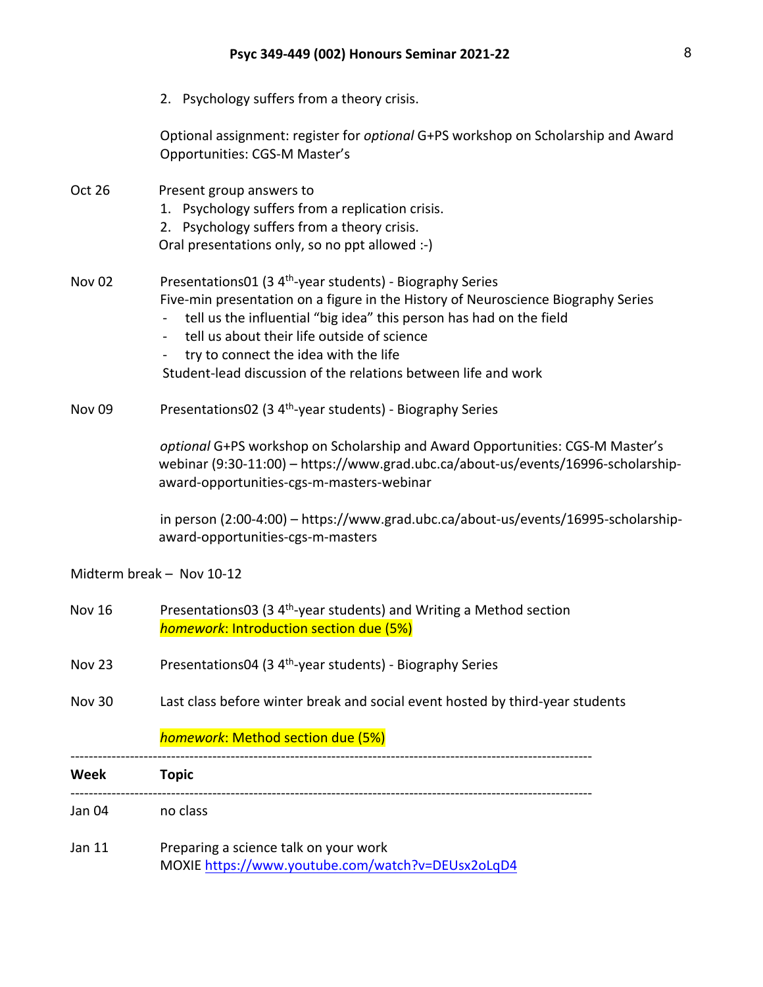| Jan 11        | Preparing a science talk on your work                                                                                                                                                                                             |
|---------------|-----------------------------------------------------------------------------------------------------------------------------------------------------------------------------------------------------------------------------------|
| Jan 04        | no class                                                                                                                                                                                                                          |
| Week          | <b>Topic</b>                                                                                                                                                                                                                      |
|               | homework: Method section due (5%)                                                                                                                                                                                                 |
| <b>Nov 30</b> | Last class before winter break and social event hosted by third-year students                                                                                                                                                     |
| <b>Nov 23</b> | Presentations04 (3 4 <sup>th</sup> -year students) - Biography Series                                                                                                                                                             |
| <b>Nov 16</b> | Presentations03 (3 4 <sup>th</sup> -year students) and Writing a Method section<br>homework: Introduction section due (5%)                                                                                                        |
|               | Midterm break - Nov 10-12                                                                                                                                                                                                         |
|               | in person (2:00-4:00) - https://www.grad.ubc.ca/about-us/events/16995-scholarship-<br>award-opportunities-cgs-m-masters                                                                                                           |
|               | optional G+PS workshop on Scholarship and Award Opportunities: CGS-M Master's<br>webinar (9:30-11:00) - https://www.grad.ubc.ca/about-us/events/16996-scholarship-<br>award-opportunities-cgs-m-masters-webinar                   |
| <b>Nov 09</b> | Presentations02 (3 4 <sup>th</sup> -year students) - Biography Series                                                                                                                                                             |
|               | try to connect the idea with the life<br>Student-lead discussion of the relations between life and work                                                                                                                           |
|               | tell us about their life outside of science<br>$\blacksquare$                                                                                                                                                                     |
| <b>Nov 02</b> | Presentations01 (3 4 <sup>th</sup> -year students) - Biography Series<br>Five-min presentation on a figure in the History of Neuroscience Biography Series<br>tell us the influential "big idea" this person has had on the field |
|               | Oral presentations only, so no ppt allowed :-)                                                                                                                                                                                    |
| Oct 26        | Present group answers to<br>1. Psychology suffers from a replication crisis.<br>2. Psychology suffers from a theory crisis.                                                                                                       |
|               | Optional assignment: register for optional G+PS workshop on Scholarship and Award<br>Opportunities: CGS-M Master's                                                                                                                |
|               | 2. Psychology suffers from a theory crisis.                                                                                                                                                                                       |

MOXIE https://www.youtube.com/watch?v=DEUsx2oLqD4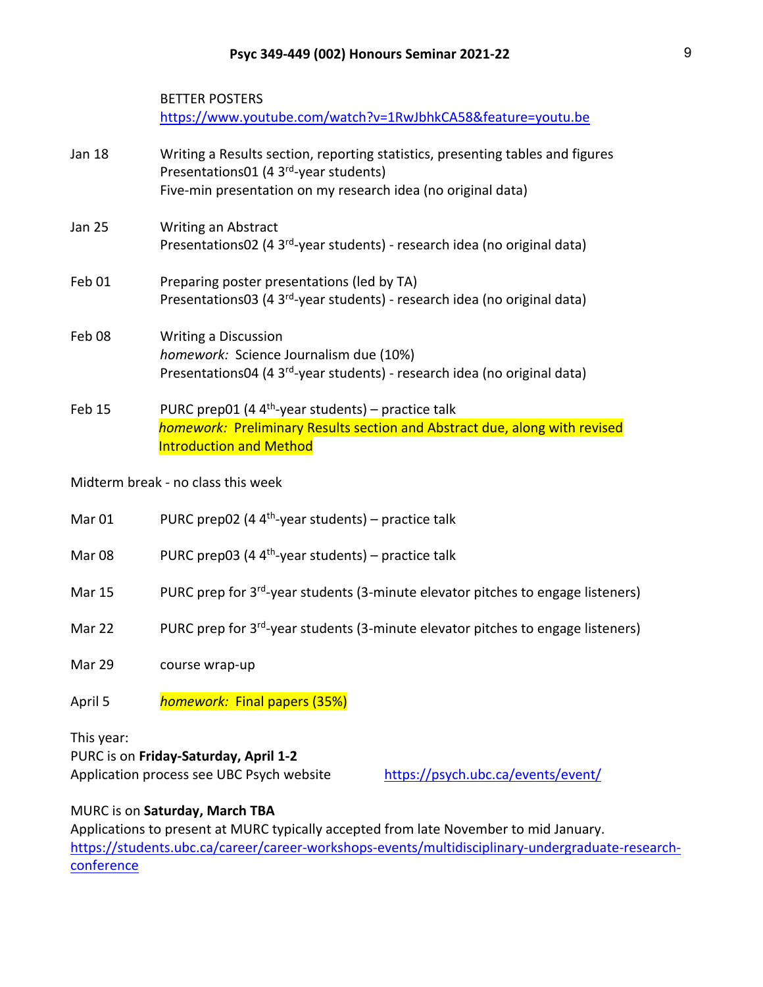BETTER POSTERS https://www.youtube.com/watch?v=1RwJbhkCA58&feature=youtu.be

| <b>Jan 18</b>     | Writing a Results section, reporting statistics, presenting tables and figures<br>Presentations01 (4 3 <sup>rd</sup> -year students) |
|-------------------|--------------------------------------------------------------------------------------------------------------------------------------|
|                   | Five-min presentation on my research idea (no original data)                                                                         |
| <b>Jan 25</b>     | <b>Writing an Abstract</b>                                                                                                           |
|                   | Presentations02 (4 3 <sup>rd</sup> -year students) - research idea (no original data)                                                |
| Feb 01            | Preparing poster presentations (led by TA)                                                                                           |
|                   | Presentations03 (4 3 <sup>rd</sup> -year students) - research idea (no original data)                                                |
| Feb <sub>08</sub> | <b>Writing a Discussion</b>                                                                                                          |
|                   | homework: Science Journalism due (10%)                                                                                               |
|                   | Presentations04 (4 3 <sup>rd</sup> -year students) - research idea (no original data)                                                |
| Feb 15            | PURC prep01 (4 $4th$ -year students) – practice talk                                                                                 |
|                   | homework: Preliminary Results section and Abstract due, along with revised                                                           |

### Midterm break - no class this week

| Mar 01 | PURC prep02 (4 $4th$ -year students) – practice talk |
|--------|------------------------------------------------------|
|--------|------------------------------------------------------|

Introduction and Method

Mar 08 PURC prep03 (4  $4<sup>th</sup>$ -year students) – practice talk

- Mar 15 PURC prep for 3<sup>rd</sup>-year students (3-minute elevator pitches to engage listeners)
- Mar 22 PURC prep for  $3^{rd}$ -year students (3-minute elevator pitches to engage listeners)
- Mar 29 course wrap-up
- April 5 *homework:* Final papers (35%)

This year:

PURC is on **Friday-Saturday, April 1-2**

Application process see UBC Psych website https://psych.ubc.ca/events/event/

### MURC is on **Saturday, March TBA**

Applications to present at MURC typically accepted from late November to mid January. https://students.ubc.ca/career/career-workshops-events/multidisciplinary-undergraduate-researchconference